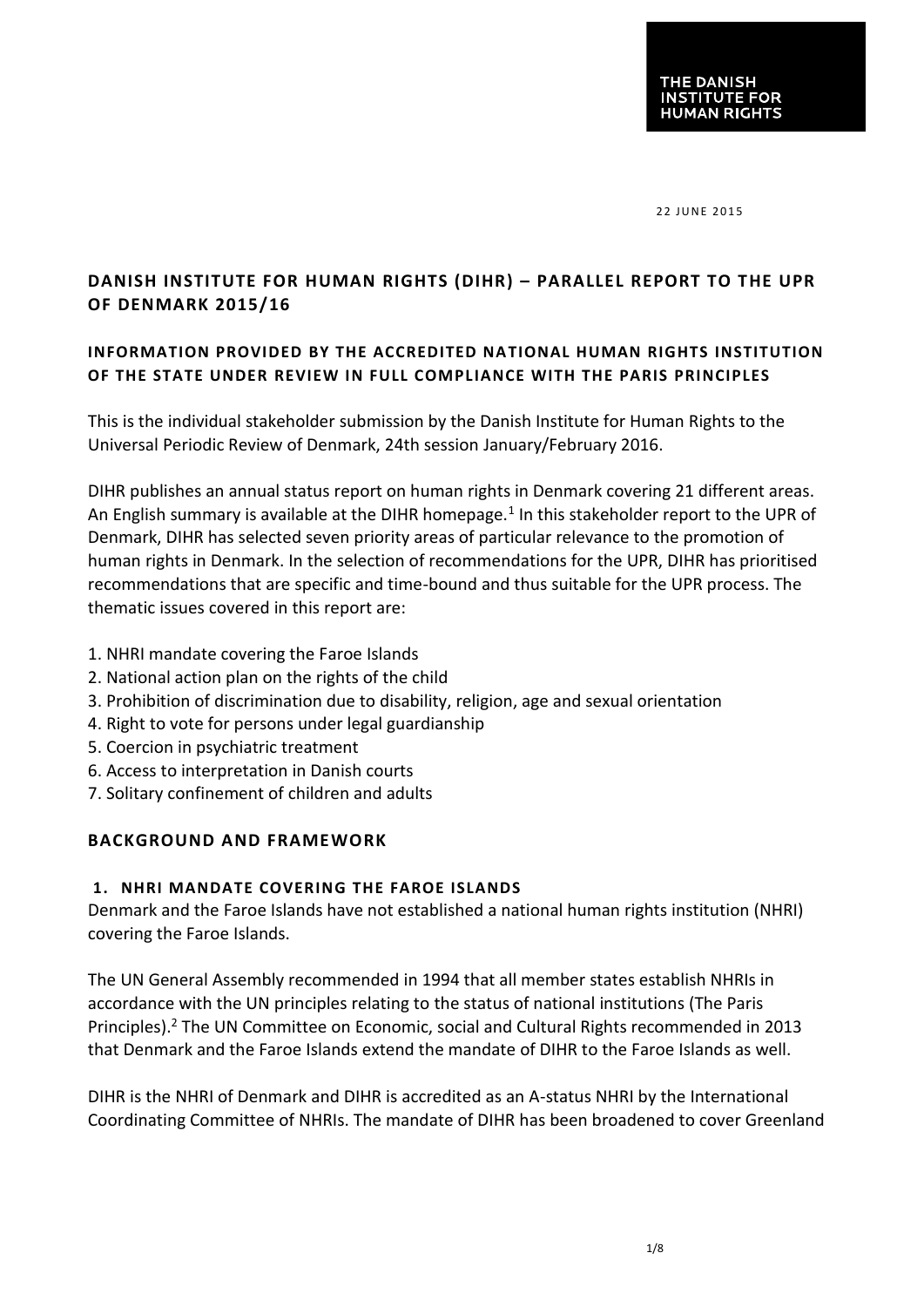22 JUNE 2015

# **DANISH INSTITUTE FOR HUMAN RIGHTS (DIHR) – PARALLEL REPORT TO THE UPR OF DENMARK 2015/16**

## **INFORMATION PROVIDED BY THE ACCREDITED NATIONAL HUMAN RIGHTS INSTITUTION OF THE STATE UNDER REVIEW IN FULL COMPLIANCE WITH THE PARIS PRINCIPLES**

This is the individual stakeholder submission by the Danish Institute for Human Rights to the Universal Periodic Review of Denmark, 24th session January/February 2016.

DIHR publishes an annual status report on human rights in Denmark covering 21 different areas. An English summary is available at the DIHR homepage.<sup>1</sup> In this stakeholder report to the UPR of Denmark, DIHR has selected seven priority areas of particular relevance to the promotion of human rights in Denmark. In the selection of recommendations for the UPR, DIHR has prioritised recommendations that are specific and time-bound and thus suitable for the UPR process. The thematic issues covered in this report are:

- 1. NHRI mandate covering the Faroe Islands
- 2. National action plan on the rights of the child
- 3. Prohibition of discrimination due to disability, religion, age and sexual orientation
- 4. Right to vote for persons under legal guardianship
- 5. Coercion in psychiatric treatment
- 6. Access to interpretation in Danish courts
- 7. Solitary confinement of children and adults

## **BACKGROUND AND FRAMEWORK**

#### **1. NHRI MANDATE COVERING THE FAROE ISLANDS**

Denmark and the Faroe Islands have not established a national human rights institution (NHRI) covering the Faroe Islands.

The UN General Assembly recommended in 1994 that all member states establish NHRIs in accordance with the UN principles relating to the status of national institutions (The Paris Principles).<sup>2</sup> The UN Committee on Economic, social and Cultural Rights recommended in 2013 that Denmark and the Faroe Islands extend the mandate of DIHR to the Faroe Islands as well.

DIHR is the NHRI of Denmark and DIHR is accredited as an A-status NHRI by the International Coordinating Committee of NHRIs. The mandate of DIHR has been broadened to cover Greenland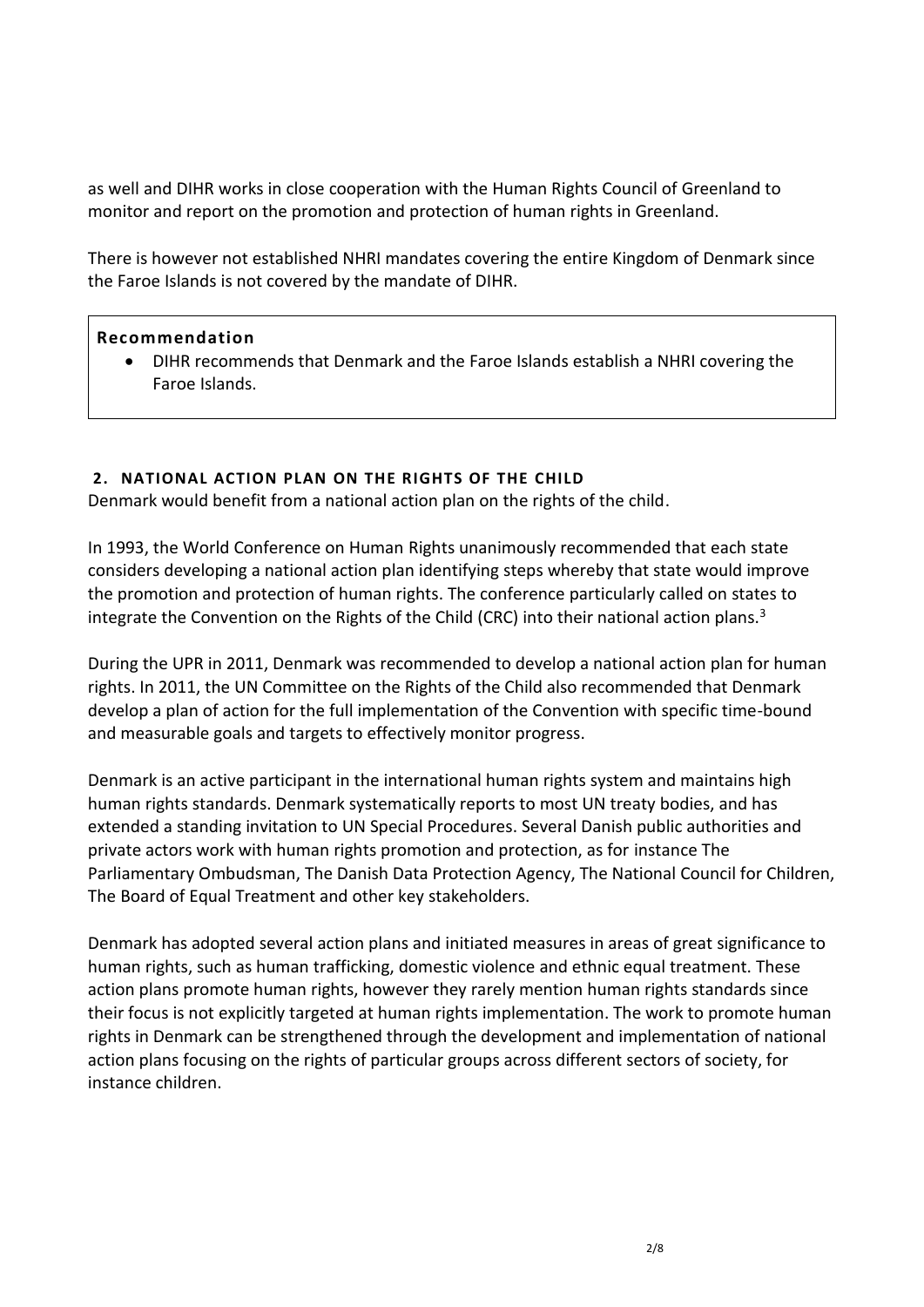as well and DIHR works in close cooperation with the Human Rights Council of Greenland to monitor and report on the promotion and protection of human rights in Greenland.

There is however not established NHRI mandates covering the entire Kingdom of Denmark since the Faroe Islands is not covered by the mandate of DIHR.

#### **Recommendation**

 DIHR recommends that Denmark and the Faroe Islands establish a NHRI covering the Faroe Islands.

#### **2. NATIONAL ACTION PLAN ON THE RIGHTS OF THE CHILD**

Denmark would benefit from a national action plan on the rights of the child.

In 1993, the World Conference on Human Rights unanimously recommended that each state considers developing a national action plan identifying steps whereby that state would improve the promotion and protection of human rights. The conference particularly called on states to integrate the Convention on the Rights of the Child (CRC) into their national action plans.<sup>3</sup>

During the UPR in 2011, Denmark was recommended to develop a national action plan for human rights. In 2011, the UN Committee on the Rights of the Child also recommended that Denmark develop a plan of action for the full implementation of the Convention with specific time-bound and measurable goals and targets to effectively monitor progress.

Denmark is an active participant in the international human rights system and maintains high human rights standards. Denmark systematically reports to most UN treaty bodies, and has extended a standing invitation to UN Special Procedures. Several Danish public authorities and private actors work with human rights promotion and protection, as for instance The Parliamentary Ombudsman, The Danish Data Protection Agency, The National Council for Children, The Board of Equal Treatment and other key stakeholders.

Denmark has adopted several action plans and initiated measures in areas of great significance to human rights, such as human trafficking, domestic violence and ethnic equal treatment. These action plans promote human rights, however they rarely mention human rights standards since their focus is not explicitly targeted at human rights implementation. The work to promote human rights in Denmark can be strengthened through the development and implementation of national action plans focusing on the rights of particular groups across different sectors of society, for instance children.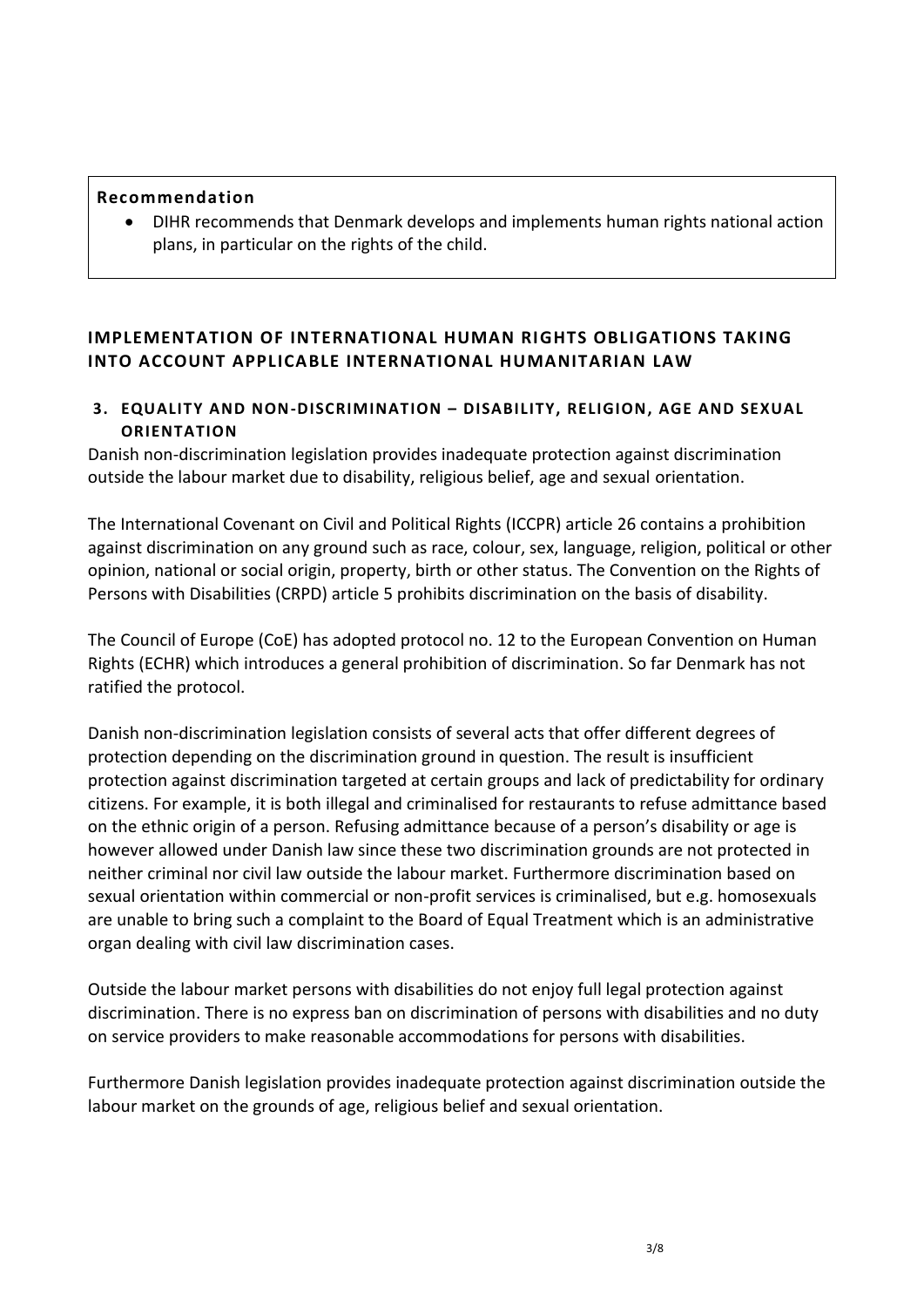#### **Recommendation**

 DIHR recommends that Denmark develops and implements human rights national action plans, in particular on the rights of the child.

# **IMPLEMENTATION OF INTERNATIONAL HUMAN RIGHTS OBLIGATIONS TAKING INTO ACCOUNT APPLICABLE INTERNATIONAL HUMANITARIAN LAW**

## **3. EQUALITY AND NON-DISCRIMINATION – DISABILITY, RELIGION, AGE AND SEXUAL ORIENTATION**

Danish non-discrimination legislation provides inadequate protection against discrimination outside the labour market due to disability, religious belief, age and sexual orientation.

The International Covenant on Civil and Political Rights (ICCPR) article 26 contains a prohibition against discrimination on any ground such as race, colour, sex, language, religion, political or other opinion, national or social origin, property, birth or other status. The Convention on the Rights of Persons with Disabilities (CRPD) article 5 prohibits discrimination on the basis of disability.

The Council of Europe (CoE) has adopted protocol no. 12 to the European Convention on Human Rights (ECHR) which introduces a general prohibition of discrimination. So far Denmark has not ratified the protocol.

Danish non-discrimination legislation consists of several acts that offer different degrees of protection depending on the discrimination ground in question. The result is insufficient protection against discrimination targeted at certain groups and lack of predictability for ordinary citizens. For example, it is both illegal and criminalised for restaurants to refuse admittance based on the ethnic origin of a person. Refusing admittance because of a person's disability or age is however allowed under Danish law since these two discrimination grounds are not protected in neither criminal nor civil law outside the labour market. Furthermore discrimination based on sexual orientation within commercial or non-profit services is criminalised, but e.g. homosexuals are unable to bring such a complaint to the Board of Equal Treatment which is an administrative organ dealing with civil law discrimination cases.

Outside the labour market persons with disabilities do not enjoy full legal protection against discrimination. There is no express ban on discrimination of persons with disabilities and no duty on service providers to make reasonable accommodations for persons with disabilities.

Furthermore Danish legislation provides inadequate protection against discrimination outside the labour market on the grounds of age, religious belief and sexual orientation.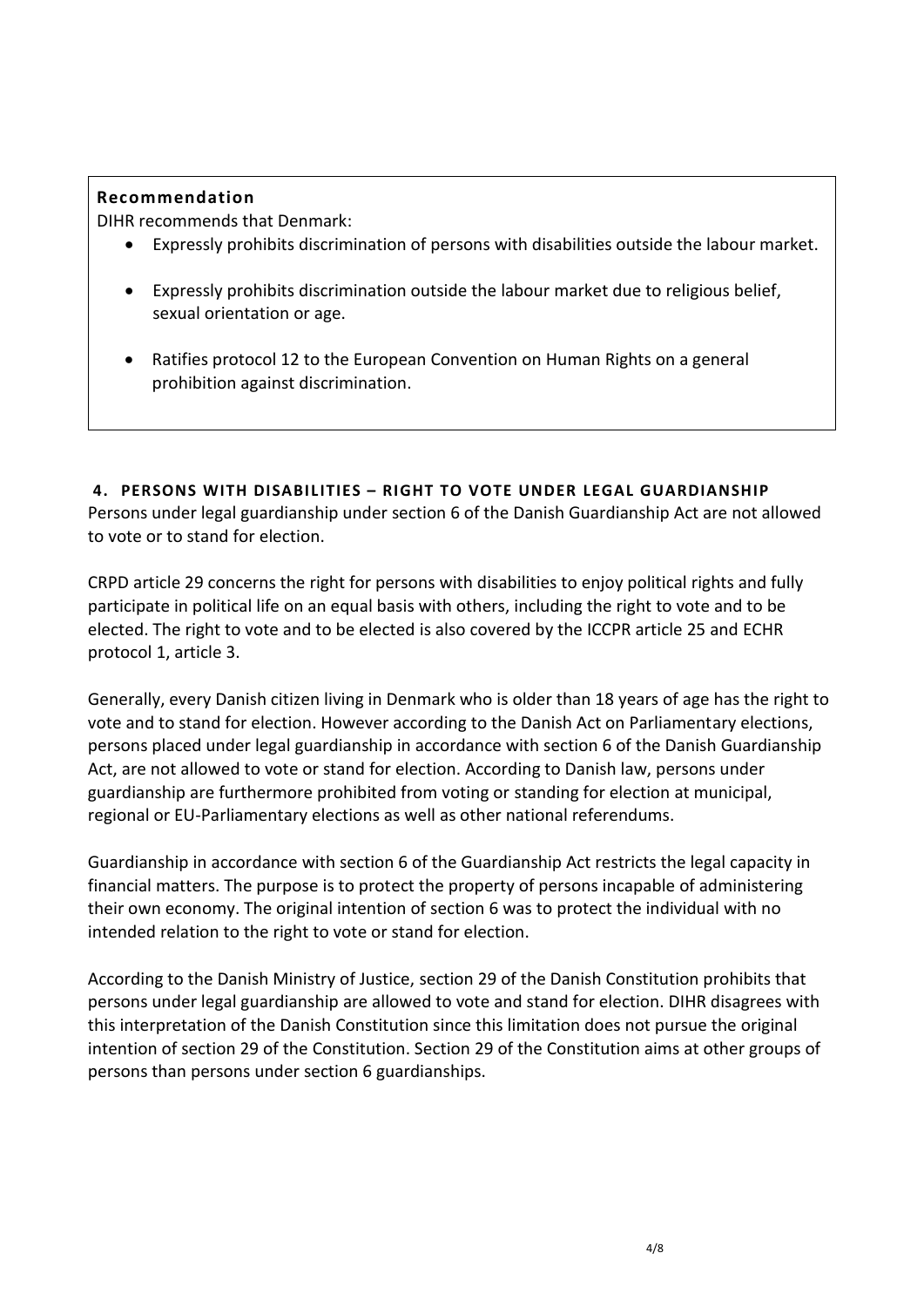## **Recommendation**

DIHR recommends that Denmark:

- Expressly prohibits discrimination of persons with disabilities outside the labour market.
- Expressly prohibits discrimination outside the labour market due to religious belief, sexual orientation or age.
- Ratifies protocol 12 to the European Convention on Human Rights on a general prohibition against discrimination.

**4. PERSONS WITH DISABIL ITIES – RIGHT TO VOTE UNDER LEGAL GUARDIANSHIP**  Persons under legal guardianship under section 6 of the Danish Guardianship Act are not allowed to vote or to stand for election.

CRPD article 29 concerns the right for persons with disabilities to enjoy political rights and fully participate in political life on an equal basis with others, including the right to vote and to be elected. The right to vote and to be elected is also covered by the ICCPR article 25 and ECHR protocol 1, article 3.

Generally, every Danish citizen living in Denmark who is older than 18 years of age has the right to vote and to stand for election. However according to the Danish Act on Parliamentary elections, persons placed under legal guardianship in accordance with section 6 of the Danish Guardianship Act, are not allowed to vote or stand for election. According to Danish law, persons under guardianship are furthermore prohibited from voting or standing for election at municipal, regional or EU-Parliamentary elections as well as other national referendums.

Guardianship in accordance with section 6 of the Guardianship Act restricts the legal capacity in financial matters. The purpose is to protect the property of persons incapable of administering their own economy. The original intention of section 6 was to protect the individual with no intended relation to the right to vote or stand for election.

According to the Danish Ministry of Justice, section 29 of the Danish Constitution prohibits that persons under legal guardianship are allowed to vote and stand for election. DIHR disagrees with this interpretation of the Danish Constitution since this limitation does not pursue the original intention of section 29 of the Constitution. Section 29 of the Constitution aims at other groups of persons than persons under section 6 guardianships.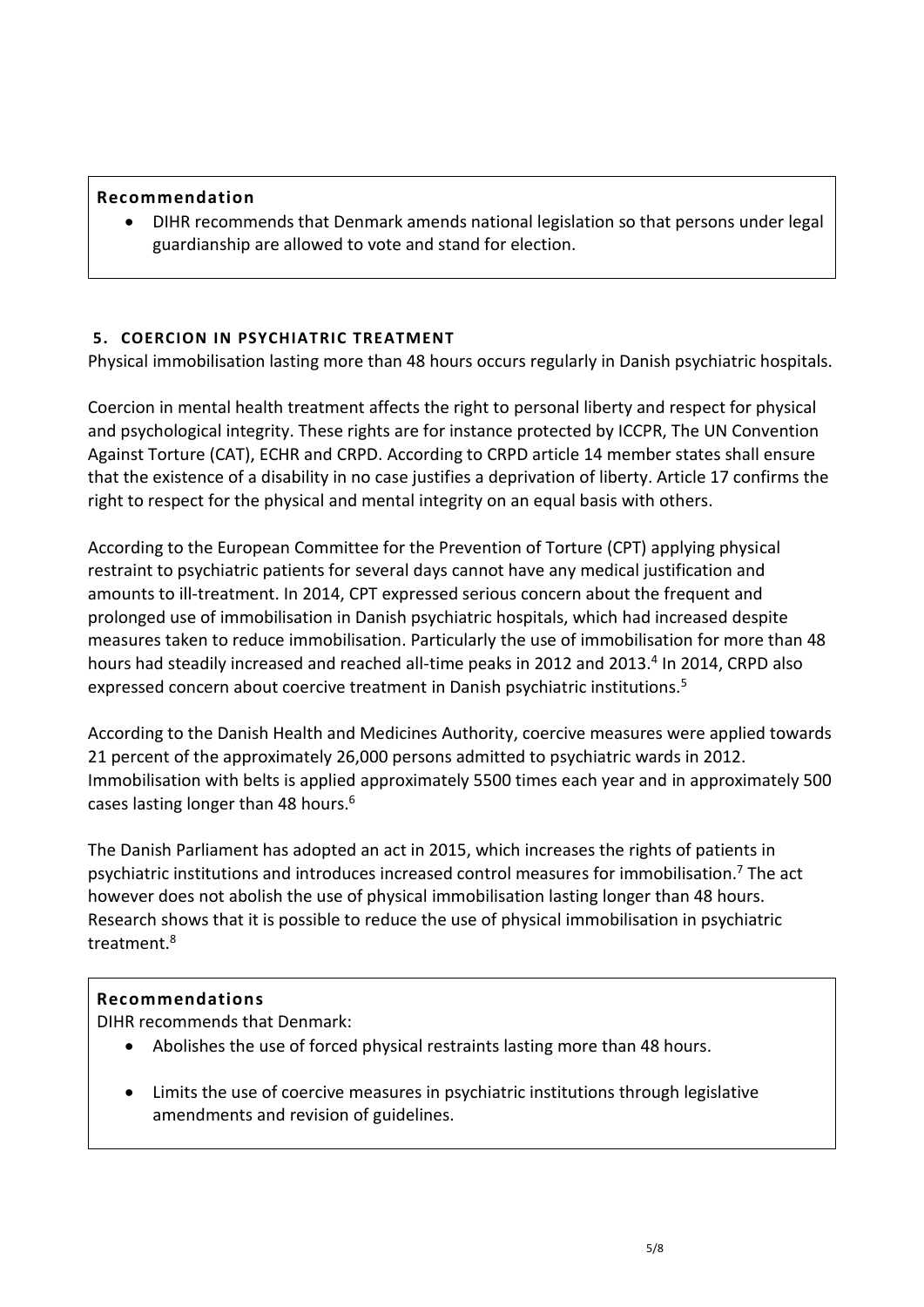#### **Recommendation**

 DIHR recommends that Denmark amends national legislation so that persons under legal guardianship are allowed to vote and stand for election.

## **5. COERCION IN PSYCHIATRIC TREATMENT**

Physical immobilisation lasting more than 48 hours occurs regularly in Danish psychiatric hospitals.

Coercion in mental health treatment affects the right to personal liberty and respect for physical and psychological integrity. These rights are for instance protected by ICCPR, The UN Convention Against Torture (CAT), ECHR and CRPD. According to CRPD article 14 member states shall ensure that the existence of a disability in no case justifies a deprivation of liberty. Article 17 confirms the right to respect for the physical and mental integrity on an equal basis with others.

According to the European Committee for the Prevention of Torture (CPT) applying physical restraint to psychiatric patients for several days cannot have any medical justification and amounts to ill-treatment. In 2014, CPT expressed serious concern about the frequent and prolonged use of immobilisation in Danish psychiatric hospitals, which had increased despite measures taken to reduce immobilisation. Particularly the use of immobilisation for more than 48 hours had steadily increased and reached all-time peaks in 2012 and 2013.<sup>4</sup> In 2014, CRPD also expressed concern about coercive treatment in Danish psychiatric institutions.<sup>5</sup>

According to the Danish Health and Medicines Authority, coercive measures were applied towards 21 percent of the approximately 26,000 persons admitted to psychiatric wards in 2012. Immobilisation with belts is applied approximately 5500 times each year and in approximately 500 cases lasting longer than 48 hours.<sup>6</sup>

The Danish Parliament has adopted an act in 2015, which increases the rights of patients in psychiatric institutions and introduces increased control measures for immobilisation.<sup>7</sup> The act however does not abolish the use of physical immobilisation lasting longer than 48 hours. Research shows that it is possible to reduce the use of physical immobilisation in psychiatric treatment.<sup>8</sup>

## **Recommendations**

DIHR recommends that Denmark:

- Abolishes the use of forced physical restraints lasting more than 48 hours.
- Limits the use of coercive measures in psychiatric institutions through legislative amendments and revision of guidelines.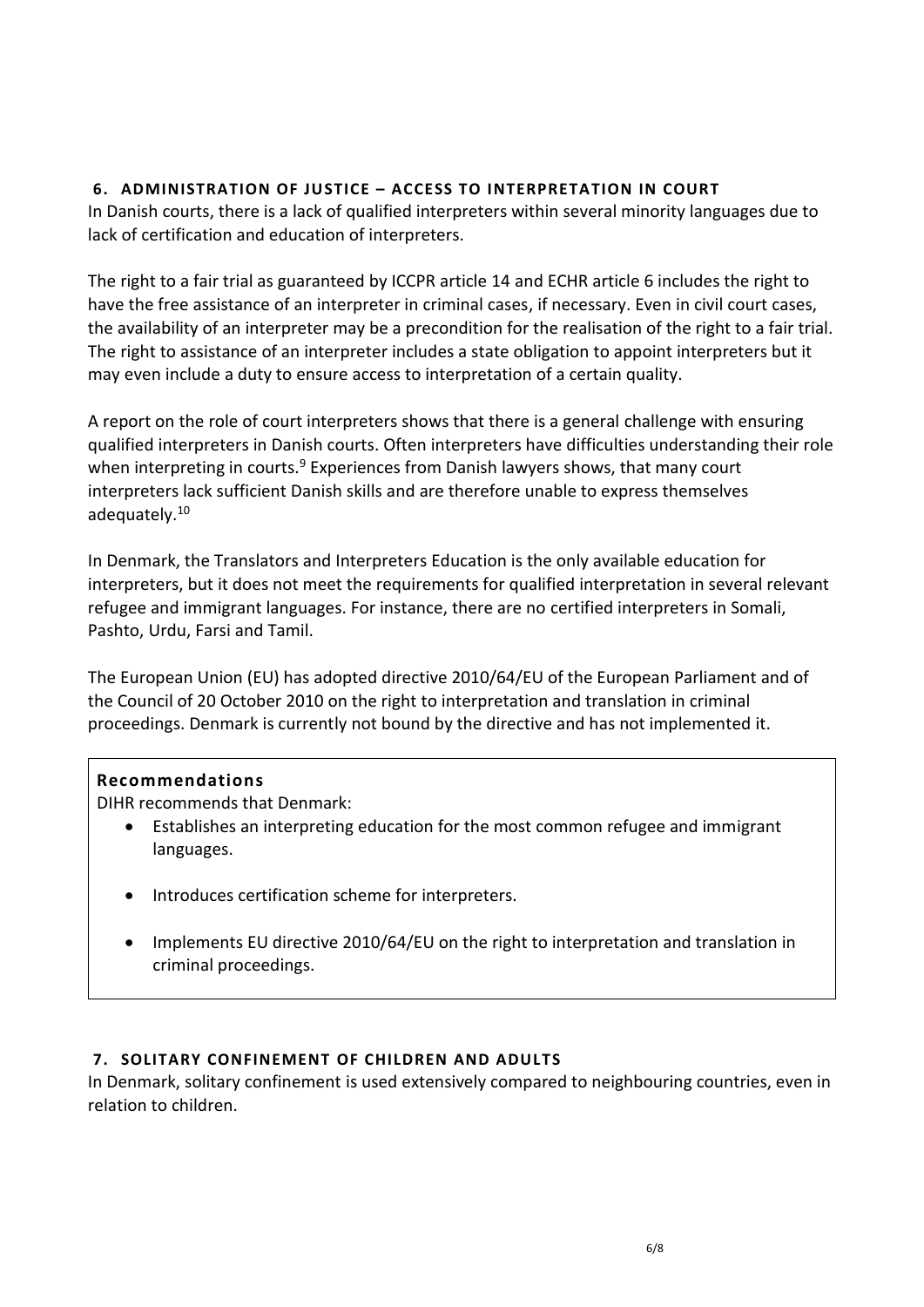## **6. ADMINISTRATION OF JUSTICE – ACCESS TO INTERPRETATION IN COURT**

In Danish courts, there is a lack of qualified interpreters within several minority languages due to lack of certification and education of interpreters.

The right to a fair trial as guaranteed by ICCPR article 14 and ECHR article 6 includes the right to have the free assistance of an interpreter in criminal cases, if necessary. Even in civil court cases, the availability of an interpreter may be a precondition for the realisation of the right to a fair trial. The right to assistance of an interpreter includes a state obligation to appoint interpreters but it may even include a duty to ensure access to interpretation of a certain quality.

A report on the role of court interpreters shows that there is a general challenge with ensuring qualified interpreters in Danish courts. Often interpreters have difficulties understanding their role when interpreting in courts.<sup>9</sup> Experiences from Danish lawyers shows, that many court interpreters lack sufficient Danish skills and are therefore unable to express themselves adequately.<sup>10</sup>

In Denmark, the Translators and Interpreters Education is the only available education for interpreters, but it does not meet the requirements for qualified interpretation in several relevant refugee and immigrant languages. For instance, there are no certified interpreters in Somali, Pashto, Urdu, Farsi and Tamil.

The European Union (EU) has adopted directive 2010/64/EU of the European Parliament and of the Council of 20 October 2010 on the right to interpretation and translation in criminal proceedings. Denmark is currently not bound by the directive and has not implemented it.

# **Recommendations**

DIHR recommends that Denmark:

- Establishes an interpreting education for the most common refugee and immigrant languages.
- Introduces certification scheme for interpreters.
- Implements EU directive 2010/64/EU on the right to interpretation and translation in criminal proceedings.

## **7. SOLITARY CONFINEMENT OF CHILDREN AND ADULTS**

In Denmark, solitary confinement is used extensively compared to neighbouring countries, even in relation to children.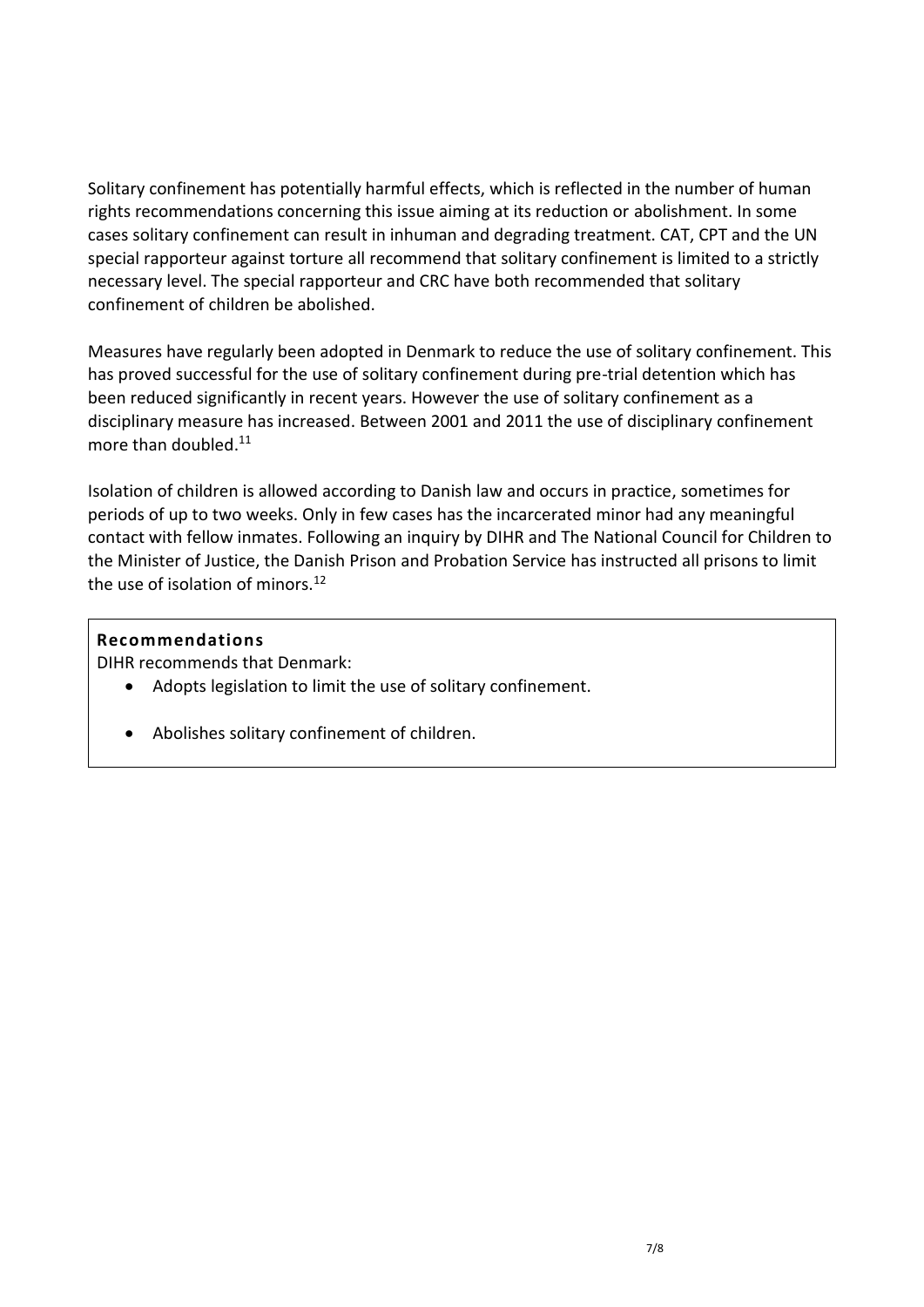Solitary confinement has potentially harmful effects, which is reflected in the number of human rights recommendations concerning this issue aiming at its reduction or abolishment. In some cases solitary confinement can result in inhuman and degrading treatment. CAT, CPT and the UN special rapporteur against torture all recommend that solitary confinement is limited to a strictly necessary level. The special rapporteur and CRC have both recommended that solitary confinement of children be abolished.

Measures have regularly been adopted in Denmark to reduce the use of solitary confinement. This has proved successful for the use of solitary confinement during pre-trial detention which has been reduced significantly in recent years. However the use of solitary confinement as a disciplinary measure has increased. Between 2001 and 2011 the use of disciplinary confinement more than doubled. 11

Isolation of children is allowed according to Danish law and occurs in practice, sometimes for periods of up to two weeks. Only in few cases has the incarcerated minor had any meaningful contact with fellow inmates. Following an inquiry by DIHR and The National Council for Children to the Minister of Justice, the Danish Prison and Probation Service has instructed all prisons to limit the use of isolation of minors. $12$ 

## **Recommendations**

DIHR recommends that Denmark:

- Adopts legislation to limit the use of solitary confinement.
- Abolishes solitary confinement of children.